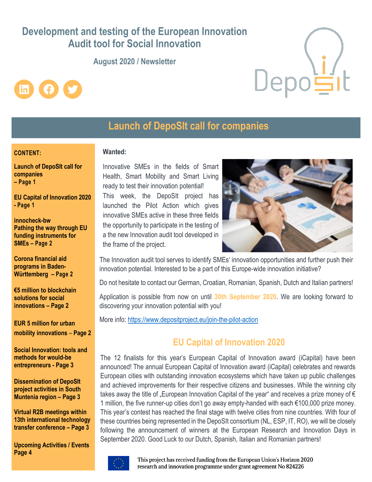# **Development and testing of the European Innovation Audit tool for Social Innovation**

### **August 2020 / Newsletter**





## **Launch of DepoSIt call for companies**

#### **CONTENT:**

**Launch of DepoSIt call for companies – Page 1**

**EU Capital of Innovation 2020 - Page 1**

**innocheck-bw Pathing the way through EU funding instruments for SMEs – Page 2**

**Corona financial aid programs in Baden-Württemberg – Page 2**

**€5 million to blockchain solutions for social innovations – Page 2**

**EUR 5 million for urban mobility innovations** – **Page 2**

**Social Innovation: tools and methods for would-be entrepreneurs - Page 3**

**Dissemination of DepoSIt project activities in South Muntenia region – Page 3**

**Virtual R2B meetings within 13th international technology transfer conference – Page 3**

**Upcoming Activities / Events Page 4**

#### **Wanted:**

Innovative SMEs in the fields of Smart Health, Smart Mobility and Smart Living ready to test their innovation potential! This week, the DepoSIt project has launched the Pilot Action which gives innovative SMEs active in these three fields the opportunity to participate in the testing of a the new Innovation audit tool developed in the frame of the project.



The Innovation audit tool serves to identify SMEs' innovation opportunities and further push their innovation potential. Interested to be a part of this Europe-wide innovation initiative?

Do not hesitate to contact our German, Croatian, Romanian, Spanish, Dutch and Italian partners!

Application is possible from now on until **30th September 2020**. We are looking forward to discovering your innovation potential with you!

More info: <https://www.depositproject.eu/join-the-pilot-action>

## **EU Capital of Innovation 2020**

The 12 finalists for this year's European Capital of Innovation award (iCapital) have been announced! The annual European Capital of Innovation award (iCapital) celebrates and rewards European cities with outstanding innovation ecosystems which have taken up public challenges and achieved improvements for their respective citizens and businesses. While the winning city takes away the title of "European Innovation Capital of the year" and receives a prize money of  $\epsilon$ 1 million, the five runner-up cities don't go away empty-handed with each €100,000 prize money. This year's contest has reached the final stage with twelve cities from nine countries. With four of these countries being represented in the DepoSIt consortium (NL, ESP, IT, RO), we will be closely following the announcement of winners at the European Research and Innovation Days in September 2020. Good Luck to our Dutch, Spanish, Italian and Romanian partners!



This project has received funding from the European Union's Horizon 2020 research and innovation programme under grant agreement No 824226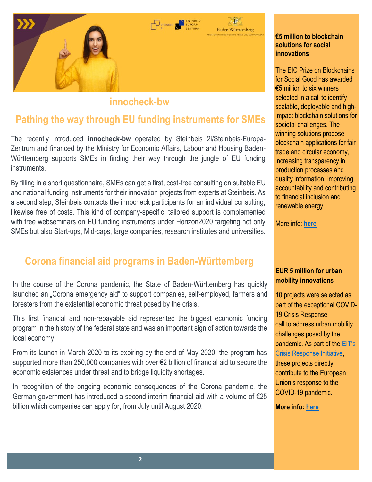

## **innocheck-bw**

## **Pathing the way through EU funding instruments for SMEs**

The recently introduced **innocheck-bw** operated by Steinbeis 2i/Steinbeis-Europa-Zentrum and financed by the Ministry for Economic Affairs, Labour and Housing Baden-Württemberg supports SMEs in finding their way through the jungle of EU funding instruments.

By filling in a short questionnaire, SMEs can get a first, cost-free consulting on suitable EU and national funding instruments for their innovation projects from experts at Steinbeis. As a second step, Steinbeis contacts the innocheck participants for an individual consulting, likewise free of costs. This kind of company-specific, tailored support is complemented with free webseminars on EU funding instruments under Horizon2020 targeting not only SMEs but also Start-ups, Mid-caps, large companies, research institutes and universities.

## **Corona financial aid programs in Baden-Württemberg**

In the course of the Corona pandemic, the State of Baden-Württemberg has quickly launched an "Corona emergency aid" to support companies, self-employed, farmers and foresters from the existential economic threat posed by the crisis.

This first financial and non-repayable aid represented the biggest economic funding program in the history of the federal state and was an important sign of action towards the local economy.

From its launch in March 2020 to its expiring by the end of May 2020, the program has supported more than 250,000 companies with over €2 billion of financial aid to secure the economic existences under threat and to bridge liquidity shortages.

In recognition of the ongoing economic consequences of the Corona pandemic, the German government has introduced a second interim financial aid with a volume of €25 billion which companies can apply for, from July until August 2020.

#### **€5 million to blockchain solutions for social innovations**

The EIC Prize on Blockchains for Social Good has awarded €5 million to six winners selected in a call to identify scalable, deployable and highimpact blockchain solutions for societal challenges. The winning solutions propose blockchain applications for fair trade and circular economy, increasing transparency in production processes and quality information, improving accountability and contributing to financial inclusion and renewable energy.

More info: **[here](https://ec.europa.eu/programmes/horizon2020/en/news/commission%E2%80%99s-european-innovation-council-awards-%E2%82%AC5-million-blockchain-solutions-social)**

### **EUR 5 million for urban mobility innovations**

10 projects were selected as part of the exceptional COVID-19 Crisis Response call to address urban mobility challenges posed by the pandemic. As part of the [EIT's](https://eit.europa.eu/our-activities/covid-19-response/eit-crisis-response-initiative)  [Crisis Response Initiative,](https://eit.europa.eu/our-activities/covid-19-response/eit-crisis-response-initiative) these projects directly contribute to the European Union's response to the COVID-19 pandemic.

**More info: [here](https://eit.europa.eu/news-events/news/5-million-urban-mobility-innovations-covid-19)**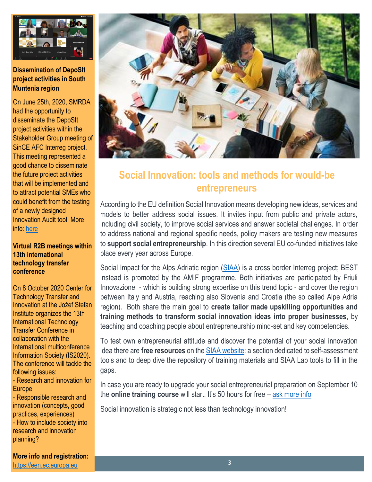

### **Dissemination of DepoSIt project activities in South Muntenia region**

On June 25th, 2020, SMRDA had the opportunity to disseminate the DepoSIt project activities within the Stakeholder Group meeting of SinCE AFC Interreg project. This meeting represented a good chance to disseminate the future project activities that will be implemented and to attract potential SMEs who could benefit from the testing of a newly designed Innovation Audit tool. More info: [here](https://www.depositproject.eu/dissemination-of-deposit-project-activities-in-south-muntenia-region/)

#### **Virtual R2B meetings within 13th international technology transfer conference**

On 8 October 2020 Center for Technology Transfer and Innovation at the Jožef Stefan Institute organizes the 13th International Technology Transfer Conference in collaboration with the International multiconference Information Society (IS2020). The conference will tackle the following issues:

- Research and innovation for Europe

- Responsible research and innovation (concepts, good practices, experiences) - How to include society into research and innovation planning?

**More info and registration:** [https://een.ec.europa.eu](https://een.ec.europa.eu/events/virtual-r2b-meetings-within-13th-international-technology-transfer-conference)



# **Social Innovation: tools and methods for would-be entrepreneurs**

According to the EU definition Social Innovation means developing new ideas, services and models to better address social issues. It invites input from public and private actors, including civil society, to improve social services and answer societal challenges. In order to address national and regional specific needs, policy makers are testing new measures to **support social entrepreneurship**. In this direction several EU co-funded initiatives take place every year across Europe.

Social Impact for the Alps Adriatic region [\(SIAA\)](https://www.siaa-project.eu/) is a cross border Interreg project; BEST instead is promoted by the AMIF programme. Both initiatives are participated by Friuli Innovazione - which is building strong expertise on this trend topic - and cover the region between Italy and Austria, reaching also Slovenia and Croatia (the so called Alpe Adria region). Both share the main goal to **create tailor made upskilling opportunities and training methods to transform social innovation ideas into proper businesses**, by teaching and coaching people about entrepreneurship mind-set and key competencies.

To test own entrepreneurial attitude and discover the potential of your social innovation idea there are **free resources** on the [SIAA website:](https://www.siaa-project.eu/testa-le-tue-capacita-imprenditoriali/) a section dedicated to self-assessment tools and to deep dive the repository of training materials and SIAA Lab tools to fill in the gaps.

In case you are ready to upgrade your social entrepreneurial preparation on September 10 the **online training course** will start. It's 50 hours for free – [ask more info](mailto:elide.hrvatin@friulinnovazione.it?subject=BEST%20training%20course%20-%20info%20request)

Social innovation is strategic not less than technology innovation!